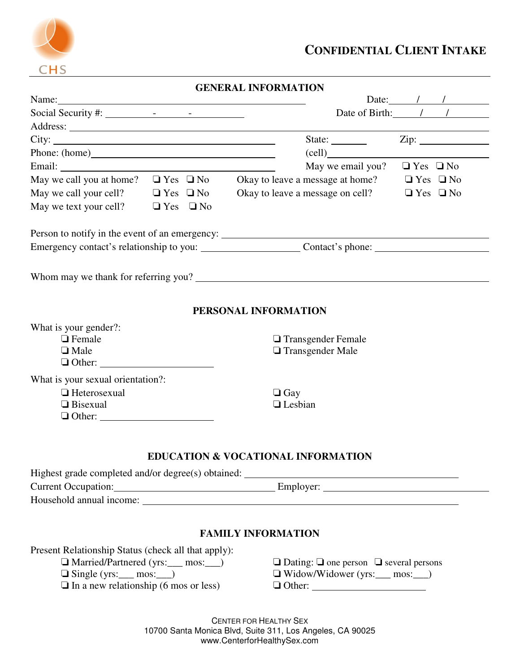

|                                                                                                                                                                                                                                | <b>GENERAL INFORMATION</b>                                                                            |  |
|--------------------------------------------------------------------------------------------------------------------------------------------------------------------------------------------------------------------------------|-------------------------------------------------------------------------------------------------------|--|
| Name: Name and the set of the set of the set of the set of the set of the set of the set of the set of the set of the set of the set of the set of the set of the set of the set of the set of the set of the set of the set o | Date: $\sqrt{1 + (1 - 1)^2}$                                                                          |  |
|                                                                                                                                                                                                                                | Date of Birth: / /                                                                                    |  |
|                                                                                                                                                                                                                                |                                                                                                       |  |
|                                                                                                                                                                                                                                | $\mathsf{Zip:}\_$<br>State:                                                                           |  |
|                                                                                                                                                                                                                                | $\left(\text{cell}\right)$                                                                            |  |
|                                                                                                                                                                                                                                | May we email you? $\Box$ Yes $\Box$ No                                                                |  |
|                                                                                                                                                                                                                                | May we call you at home? $\Box$ Yes $\Box$ No Okay to leave a message at home? $\Box$ Yes $\Box$ No   |  |
| May we call your cell?<br>$\Box$ Yes $\Box$ No<br>May we text your cell?<br>$\Box$ Yes $\Box$ No                                                                                                                               | Okay to leave a message on cell?<br>$\Box$ Yes $\Box$ No                                              |  |
| Person to notify in the event of an emergency: __________________________________                                                                                                                                              |                                                                                                       |  |
|                                                                                                                                                                                                                                |                                                                                                       |  |
| Whom may we thank for referring you?                                                                                                                                                                                           |                                                                                                       |  |
|                                                                                                                                                                                                                                | PERSONAL INFORMATION                                                                                  |  |
| What is your gender?:<br>$\Box$ Female<br>$\Box$ Male<br>$\Box$ Other: $\Box$                                                                                                                                                  | □ Transgender Female<br>$\Box$ Transgender Male                                                       |  |
| What is your sexual orientation?:<br>$\Box$ Heterosexual<br>$\Box$ Bisexual                                                                                                                                                    | $\Box$ Gay<br><b>Lesbian</b>                                                                          |  |
|                                                                                                                                                                                                                                | <b>EDUCATION &amp; VOCATIONAL INFORMATION</b>                                                         |  |
| Highest grade completed and/or degree(s) obtained: ______________________________                                                                                                                                              |                                                                                                       |  |
|                                                                                                                                                                                                                                | Current Occupation: Current Occupation: Current Occupation:                                           |  |
|                                                                                                                                                                                                                                | <b>FAMILY INFORMATION</b>                                                                             |  |
| Present Relationship Status (check all that apply):<br>Married/Partnered (yrs:___ mos:__)<br>$\Box$ Single (yrs: ____ mos: ____)<br>$\Box$ In a new relationship (6 mos or less)                                               | $\Box$ Dating: $\Box$ one person $\Box$ several persons<br>$\Box$ Widow/Widower (yrs: ____ mos: ____) |  |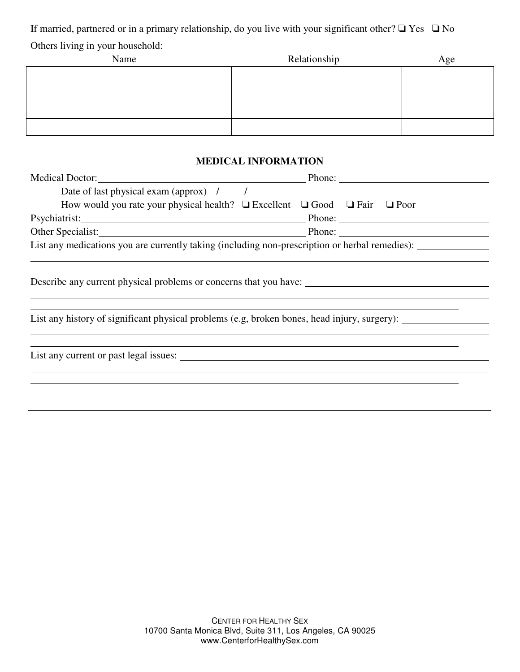If married, partnered or in a primary relationship, do you live with your significant other? ❏ Yes ❏ No Others living in your household:

| Name | Relationship | Age |
|------|--------------|-----|
|      |              |     |
|      |              |     |
|      |              |     |
|      |              |     |

# **MEDICAL INFORMATION**

| Medical Doctor: 2000 and 2000 and 2000 and 2000 and 2000 and 2000 and 2000 and 2000 and 2000 and 200                                                                                                                           | Phone: $\frac{1}{\sqrt{1-\frac{1}{2}} \cdot \frac{1}{2}}$ |  |  |  |  |
|--------------------------------------------------------------------------------------------------------------------------------------------------------------------------------------------------------------------------------|-----------------------------------------------------------|--|--|--|--|
| Date of last physical exam (approx) $\frac{1}{1}$                                                                                                                                                                              |                                                           |  |  |  |  |
| How would you rate your physical health? $\Box$ Excellent $\Box$ Good $\Box$ Fair $\Box$ Poor                                                                                                                                  |                                                           |  |  |  |  |
| Psychiatrist: New York Changes and Security and Security and Security and Security and Security and Security and Security and Security and Security and Security and Security and Security and Security and Security and Secur |                                                           |  |  |  |  |
| Other Specialist: Phone: Phone: Phone: Phone: Phone: Phone: Phone: Phone: Phone: Phone: Phone: Phone: Phone: Phone: Phone: Phone: Phone: Phone: Phone: Phone: Phone: Phone: Phone: Phone: Phone: Phone: Phone: Phone: Phone: P |                                                           |  |  |  |  |
| List any medications you are currently taking (including non-prescription or herbal remedies):                                                                                                                                 |                                                           |  |  |  |  |
|                                                                                                                                                                                                                                |                                                           |  |  |  |  |
| Describe any current physical problems or concerns that you have:                                                                                                                                                              |                                                           |  |  |  |  |
| List any history of significant physical problems (e.g. broken bones, head injury, surgery):                                                                                                                                   |                                                           |  |  |  |  |
| List any current or past legal issues:                                                                                                                                                                                         |                                                           |  |  |  |  |
|                                                                                                                                                                                                                                |                                                           |  |  |  |  |
|                                                                                                                                                                                                                                |                                                           |  |  |  |  |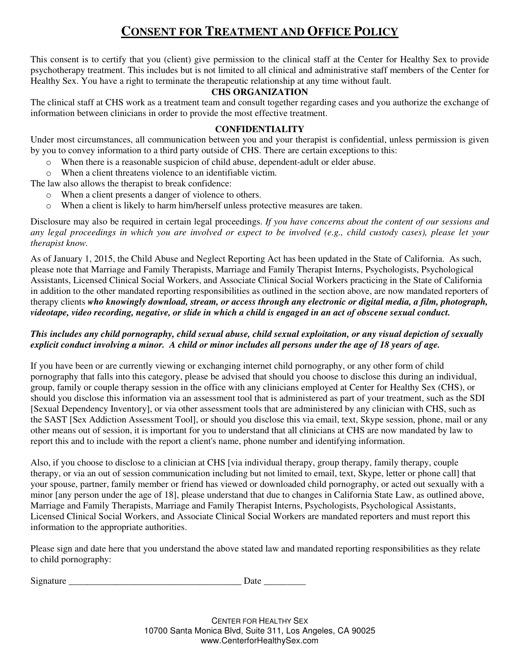# **CONSENT FOR TREATMENT AND OFFICE POLICY**

This consent is to certify that you (client) give permission to the clinical staff at the Center for Healthy Sex to provide psychotherapy treatment. This includes but is not limited to all clinical and administrative staff members of the Center for Healthy Sex. You have a right to terminate the therapeutic relationship at any time without fault.

#### **CHS ORGANIZATION**

The clinical staff at CHS work as a treatment team and consult together regarding cases and you authorize the exchange of information between clinicians in order to provide the most effective treatment.

#### **CONFIDENTIALITY**

Under most circumstances, all communication between you and your therapist is confidential, unless permission is given by you to convey information to a third party outside of CHS. There are certain exceptions to this:

- o When there is a reasonable suspicion of child abuse, dependent-adult or elder abuse.
- o When a client threatens violence to an identifiable victim.

The law also allows the therapist to break confidence:

- o When a client presents a danger of violence to others.
- o When a client is likely to harm him/herself unless protective measures are taken.

Disclosure may also be required in certain legal proceedings. *If you have concerns about the content of our sessions and any legal proceedings in which you are involved or expect to be involved (e.g., child custody cases), please let your therapist know.* 

As of January 1, 2015, the Child Abuse and Neglect Reporting Act has been updated in the State of California. As such, please note that Marriage and Family Therapists, Marriage and Family Therapist Interns, Psychologists, Psychological Assistants, Licensed Clinical Social Workers, and Associate Clinical Social Workers practicing in the State of California in addition to the other mandated reporting responsibilities as outlined in the section above, are now mandated reporters of therapy clients *who knowingly download, stream, or access through any electronic or digital media, a film, photograph, videotape, video recording, negative, or slide in which a child is engaged in an act of obscene sexual conduct.* 

# *This includes any child pornography, child sexual abuse, child sexual exploitation, or any visual depiction of sexually explicit conduct involving a minor. A child or minor includes all persons under the age of 18 years of age.*

If you have been or are currently viewing or exchanging internet child pornography, or any other form of child pornography that falls into this category, please be advised that should you choose to disclose this during an individual, group, family or couple therapy session in the office with any clinicians employed at Center for Healthy Sex (CHS), or should you disclose this information via an assessment tool that is administered as part of your treatment, such as the SDI [Sexual Dependency Inventory], or via other assessment tools that are administered by any clinician with CHS, such as the SAST [Sex Addiction Assessment Tool], or should you disclose this via email, text, Skype session, phone, mail or any other means out of session, it is important for you to understand that all clinicians at CHS are now mandated by law to report this and to include with the report a client's name, phone number and identifying information.

Also, if you choose to disclose to a clinician at CHS [via individual therapy, group therapy, family therapy, couple therapy, or via an out of session communication including but not limited to email, text, Skype, letter or phone call] that your spouse, partner, family member or friend has viewed or downloaded child pornography, or acted out sexually with a minor [any person under the age of 18], please understand that due to changes in California State Law, as outlined above, Marriage and Family Therapists, Marriage and Family Therapist Interns, Psychologists, Psychological Assistants, Licensed Clinical Social Workers, and Associate Clinical Social Workers are mandated reporters and must report this information to the appropriate authorities.

Please sign and date here that you understand the above stated law and mandated reporting responsibilities as they relate to child pornography:

Signature Date Date  $\Box$ 

CENTER FOR HEALTHY SEX 10700 Santa Monica Blvd, Suite 311, Los Angeles, CA 90025 www.CenterforHealthySex.com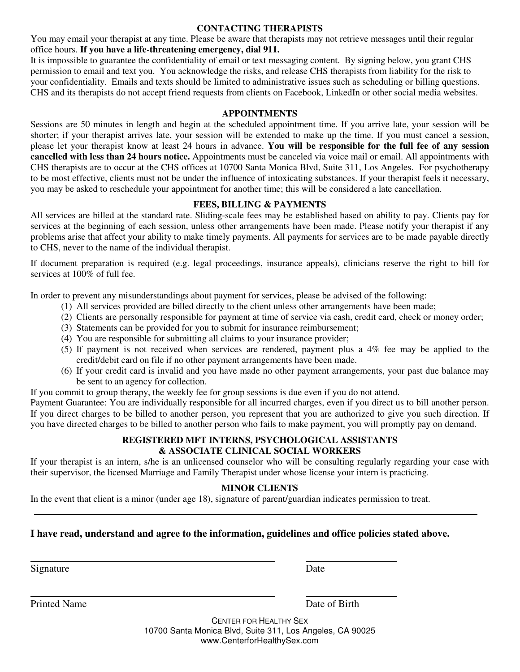#### **CONTACTING THERAPISTS**

You may email your therapist at any time. Please be aware that therapists may not retrieve messages until their regular office hours. **If you have a life-threatening emergency, dial 911.**

It is impossible to guarantee the confidentiality of email or text messaging content. By signing below, you grant CHS permission to email and text you. You acknowledge the risks, and release CHS therapists from liability for the risk to your confidentiality. Emails and texts should be limited to administrative issues such as scheduling or billing questions. CHS and its therapists do not accept friend requests from clients on Facebook, LinkedIn or other social media websites.

#### **APPOINTMENTS**

Sessions are 50 minutes in length and begin at the scheduled appointment time. If you arrive late, your session will be shorter; if your therapist arrives late, your session will be extended to make up the time. If you must cancel a session, please let your therapist know at least 24 hours in advance. **You will be responsible for the full fee of any session cancelled with less than 24 hours notice.** Appointments must be canceled via voice mail or email. All appointments with CHS therapists are to occur at the CHS offices at 10700 Santa Monica Blvd, Suite 311, Los Angeles. For psychotherapy to be most effective, clients must not be under the influence of intoxicating substances. If your therapist feels it necessary, you may be asked to reschedule your appointment for another time; this will be considered a late cancellation.

# **FEES, BILLING & PAYMENTS**

All services are billed at the standard rate. Sliding-scale fees may be established based on ability to pay. Clients pay for services at the beginning of each session, unless other arrangements have been made. Please notify your therapist if any problems arise that affect your ability to make timely payments. All payments for services are to be made payable directly to CHS, never to the name of the individual therapist.

If document preparation is required (e.g. legal proceedings, insurance appeals), clinicians reserve the right to bill for services at 100% of full fee.

In order to prevent any misunderstandings about payment for services, please be advised of the following:

- (1) All services provided are billed directly to the client unless other arrangements have been made;
- (2) Clients are personally responsible for payment at time of service via cash, credit card, check or money order;
- (3) Statements can be provided for you to submit for insurance reimbursement;
- (4) You are responsible for submitting all claims to your insurance provider;
- (5) If payment is not received when services are rendered, payment plus a 4% fee may be applied to the credit/debit card on file if no other payment arrangements have been made.
- (6) If your credit card is invalid and you have made no other payment arrangements, your past due balance may be sent to an agency for collection.

If you commit to group therapy, the weekly fee for group sessions is due even if you do not attend.

Payment Guarantee: You are individually responsible for all incurred charges, even if you direct us to bill another person. If you direct charges to be billed to another person, you represent that you are authorized to give you such direction. If you have directed charges to be billed to another person who fails to make payment, you will promptly pay on demand.

# **REGISTERED MFT INTERNS, PSYCHOLOGICAL ASSISTANTS & ASSOCIATE CLINICAL SOCIAL WORKERS**

If your therapist is an intern, s/he is an unlicensed counselor who will be consulting regularly regarding your case with their supervisor, the licensed Marriage and Family Therapist under whose license your intern is practicing.

# **MINOR CLIENTS**

In the event that client is a minor (under age 18), signature of parent/guardian indicates permission to treat.

# **I have read, understand and agree to the information, guidelines and office policies stated above.**

Signature Date

 $\overline{a}$ 

 $\overline{a}$ 

Printed Name Date of Birth

CENTER FOR HEALTHY SEX 10700 Santa Monica Blvd, Suite 311, Los Angeles, CA 90025 www.CenterforHealthySex.com